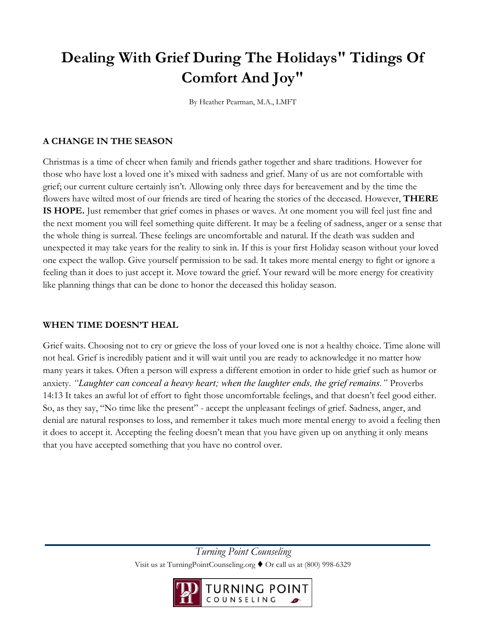# **Dealing With Grief During The Holidays" Tidings Of Comfort And Joy"**

By Heather Pearman, M.A., LMFT

## **A CHANGE IN THE SEASON**

Christmas is a time of cheer when family and friends gather together and share traditions. However for those who have lost a loved one it's mixed with sadness and grief. Many of us are not comfortable with grief; our current culture certainly isn't. Allowing only three days for bereavement and by the time the flowers have wilted most of our friends are tired of hearing the stories of the deceased. However, **THERE IS HOPE.** Just remember that grief comes in phases or waves. At one moment you will feel just fine and the next moment you will feel something quite different. It may be a feeling of sadness, anger or a sense that the whole thing is surreal. These feelings are uncomfortable and natural. If the death was sudden and unexpected it may take years for the reality to sink in. If this is your first Holiday season without your loved one expect the wallop. Give yourself permission to be sad. It takes more mental energy to fight or ignore a feeling than it does to just accept it. Move toward the grief. Your reward will be more energy for creativity like planning things that can be done to honor the deceased this holiday season.

#### **WHEN TIME DOESN'T HEAL**

Grief waits. Choosing not to cry or grieve the loss of your loved one is not a healthy choice. Time alone will not heal. Grief is incredibly patient and it will wait until you are ready to acknowledge it no matter how many years it takes. Often a person will express a different emotion in order to hide grief such as humor or anxiety. *"Laughter can conceal a heavy heart; when the laughter ends, the grief remains."* Proverbs 14:13 It takes an awful lot of effort to fight those uncomfortable feelings, and that doesn't feel good either. So, as they say, "No time like the present" - accept the unpleasant feelings of grief. Sadness, anger, and denial are natural responses to loss, and remember it takes much more mental energy to avoid a feeling then it does to accept it. Accepting the feeling doesn't mean that you have given up on anything it only means that you have accepted something that you have no control over.

> *Turning Point Counseling*  Visit us at TurningPointCounseling.org ♦ Or call us at (800) 998-6329

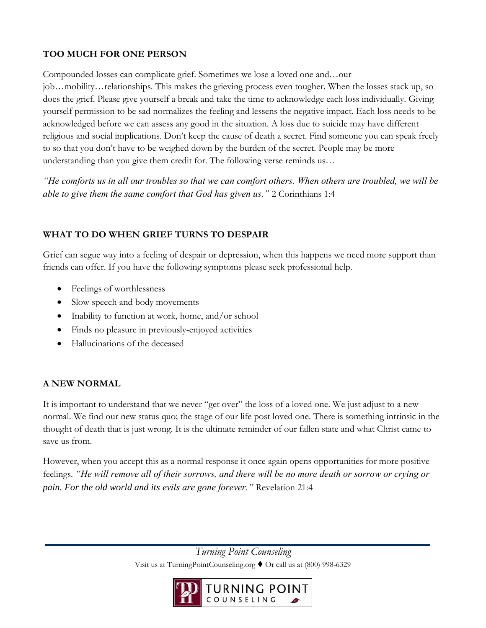# **TOO MUCH FOR ONE PERSON**

Compounded losses can complicate grief. Sometimes we lose a loved one and…our

job…mobility…relationships. This makes the grieving process even tougher. When the losses stack up, so does the grief. Please give yourself a break and take the time to acknowledge each loss individually. Giving yourself permission to be sad normalizes the feeling and lessens the negative impact. Each loss needs to be acknowledged before we can assess any good in the situation. A loss due to suicide may have different religious and social implications. Don't keep the cause of death a secret. Find someone you can speak freely to so that you don't have to be weighed down by the burden of the secret. People may be more understanding than you give them credit for. The following verse reminds us…

*"He comforts us in all our troubles so that we can comfort others. When others are troubled, we will be able to give them the same comfort that God has given us."* 2 Corinthians 1:4

## **WHAT TO DO WHEN GRIEF TURNS TO DESPAIR**

Grief can segue way into a feeling of despair or depression, when this happens we need more support than friends can offer. If you have the following symptoms please seek professional help.

- Feelings of worthlessness
- Slow speech and body movements
- Inability to function at work, home, and/or school
- Finds no pleasure in previously-enjoyed activities
- Hallucinations of the deceased

## **A NEW NORMAL**

It is important to understand that we never "get over" the loss of a loved one. We just adjust to a new normal. We find our new status quo; the stage of our life post loved one. There is something intrinsic in the thought of death that is just wrong. It is the ultimate reminder of our fallen state and what Christ came to save us from.

However, when you accept this as a normal response it once again opens opportunities for more positive feelings. *"He will remove all of their sorrows, and there will be no more death or sorrow or crying or pain. For the old world and its evils are gone forever."* Revelation 21:4

> *Turning Point Counseling*  Visit us at TurningPointCounseling.org ♦ Or call us at (800) 998-6329